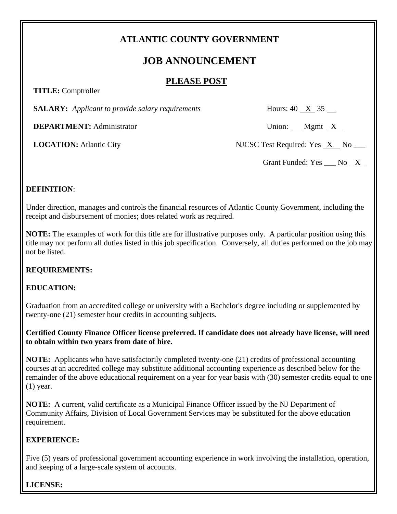## **ATLANTIC COUNTY GOVERNMENT**

# **JOB ANNOUNCEMENT**

### **PLEASE POST**

 **TITLE:** Comptroller

**SALARY:** *Applicant to provide salary requirements* Hours: 40 X 35

**DEPARTMENT:** Administrator Union: Mgmt X

**LOCATION:** Atlantic City NJCSC Test Required: Yes X No \_\_\_

Grant Funded:  $Yes$  \_\_\_ No  $X$ 

#### **DEFINITION**:

Under direction, manages and controls the financial resources of Atlantic County Government, including the receipt and disbursement of monies; does related work as required.

**NOTE:** The examples of work for this title are for illustrative purposes only. A particular position using this title may not perform all duties listed in this job specification. Conversely, all duties performed on the job may not be listed.

#### **REQUIREMENTS:**

### **EDUCATION:**

Graduation from an accredited college or university with a Bachelor's degree including or supplemented by twenty-one (21) semester hour credits in accounting subjects.

**Certified County Finance Officer license preferred. If candidate does not already have license, will need to obtain within two years from date of hire.** 

**NOTE:** Applicants who have satisfactorily completed twenty-one (21) credits of professional accounting courses at an accredited college may substitute additional accounting experience as described below for the remainder of the above educational requirement on a year for year basis with (30) semester credits equal to one (1) year.

**NOTE:** A current, valid certificate as a Municipal Finance Officer issued by the NJ Department of Community Affairs, Division of Local Government Services may be substituted for the above education requirement.

#### **EXPERIENCE:**

Five (5) years of professional government accounting experience in work involving the installation, operation, and keeping of a large-scale system of accounts.

#### **LICENSE:**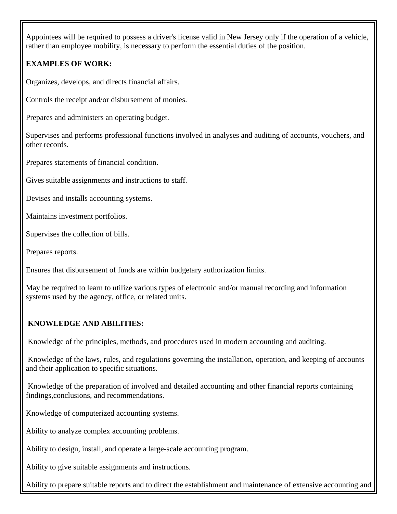Appointees will be required to possess a driver's license valid in New Jersey only if the operation of a vehicle, rather than employee mobility, is necessary to perform the essential duties of the position.

## **EXAMPLES OF WORK:**

Organizes, develops, and directs financial affairs.

Controls the receipt and/or disbursement of monies.

Prepares and administers an operating budget.

Supervises and performs professional functions involved in analyses and auditing of accounts, vouchers, and other records.

Prepares statements of financial condition.

Gives suitable assignments and instructions to staff.

Devises and installs accounting systems.

Maintains investment portfolios.

Supervises the collection of bills.

Prepares reports.

Ensures that disbursement of funds are within budgetary authorization limits.

May be required to learn to utilize various types of electronic and/or manual recording and information systems used by the agency, office, or related units.

### **KNOWLEDGE AND ABILITIES:**

Knowledge of the principles, methods, and procedures used in modern accounting and auditing.

Knowledge of the laws, rules, and regulations governing the installation, operation, and keeping of accounts and their application to specific situations.

Knowledge of the preparation of involved and detailed accounting and other financial reports containing findings,conclusions, and recommendations.

Knowledge of computerized accounting systems.

Ability to analyze complex accounting problems.

Ability to design, install, and operate a large-scale accounting program.

Ability to give suitable assignments and instructions.

Ability to prepare suitable reports and to direct the establishment and maintenance of extensive accounting and